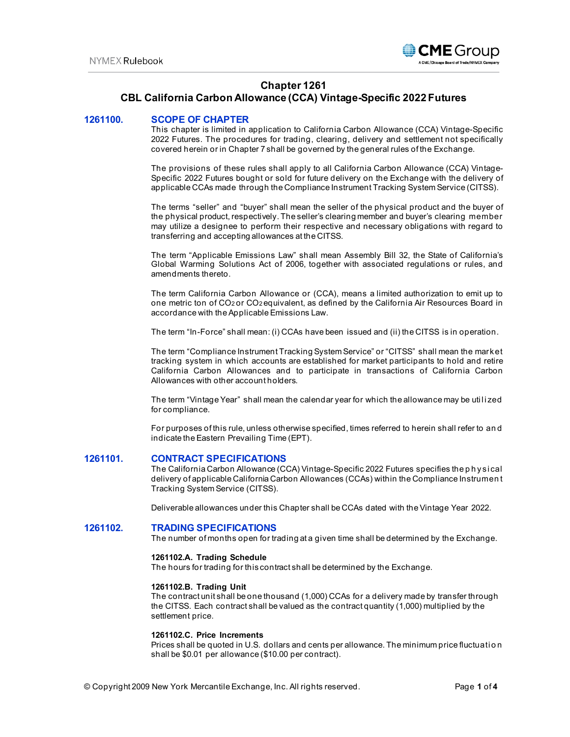

# **Chapter 1261**

# **CBL California Carbon Allowance (CCA) Vintage-Specific 2022 Futures**

# **1261100. SCOPE OF CHAPTER**

This chapter is limited in application to California Carbon Allowance (CCA) Vintage-Specific 2022 Futures. The procedures for trading, clearing, delivery and settlement not specifically covered herein or in Chapter 7 shall be governed by the general rules of the Exchange.

The provisions of these rules shall apply to all California Carbon Allowance (CCA) Vintage-Specific 2022 Futures bought or sold for future delivery on the Exchange with the delivery of applicable CCAs made through the Compliance Instrument Tracking System Service (CITSS).

The terms "seller" and "buyer" shall mean the seller of the physical product and the buyer of the physical product, respectively. The seller's clearing member and buyer's clearing member may utilize a designee to perform their respective and necessary obligations with regard to transferring and accepting allowances at the CITSS.

The term "Applicable Emissions Law" shall mean Assembly Bill 32, the State of California's Global Warming Solutions Act of 2006, together with associated regulations or rules, and amendments thereto.

The term California Carbon Allowance or (CCA), means a limited authorization to emit up to one metric ton of CO2 or CO2 equivalent, as defined by the California Air Resources Board in accordance with the Applicable Emissions Law.

The term "In-Force" shall mean: (i) CCAs have been issued and (ii) the CITSS is in operation.

The term "Compliance Instrument Tracking System Service" or "CITSS" shall mean the market tracking system in which accounts are established for market participants to hold and retire California Carbon Allowances and to participate in transactions of California Carbon Allowances with other account holders.

The term "Vintage Year" shall mean the calendar year for which the allowance may be utilized for compliance.

For purposes of this rule, unless otherwise specified, times referred to herein shall refer to an d indicate the Eastern Prevailing Time (EPT).

## **1261101. CONTRACT SPECIFICATIONS**

The California Carbon Allowance (CCA) Vintage-Specific 2022 Futures specifies the p h ysi cal delivery of applicable California Carbon Allowances (CCAs) within the Compliance Instrumen t Tracking System Service (CITSS).

Deliverable allowances under this Chapter shall be CCAs dated with the Vintage Year 2022.

#### **1261102. TRADING SPECIFICATIONS**

The number of months open for trading at a given time shall be determined by the Exchange.

### **1261102.A. Trading Schedule**

The hours for trading for this contract shall be determined by the Exchange.

#### **1261102.B. Trading Unit**

The contract unit shall be one thousand (1,000) CCAs for a delivery made by transfer through the CITSS. Each contract shall be valued as the contract quantity (1,000) multiplied by the settlement price.

## **1261102.C. Price Increments**

Prices shall be quoted in U.S. dollars and cents per allowance. The minimum price fluctuation shall be \$0.01 per allowance (\$10.00 per contract).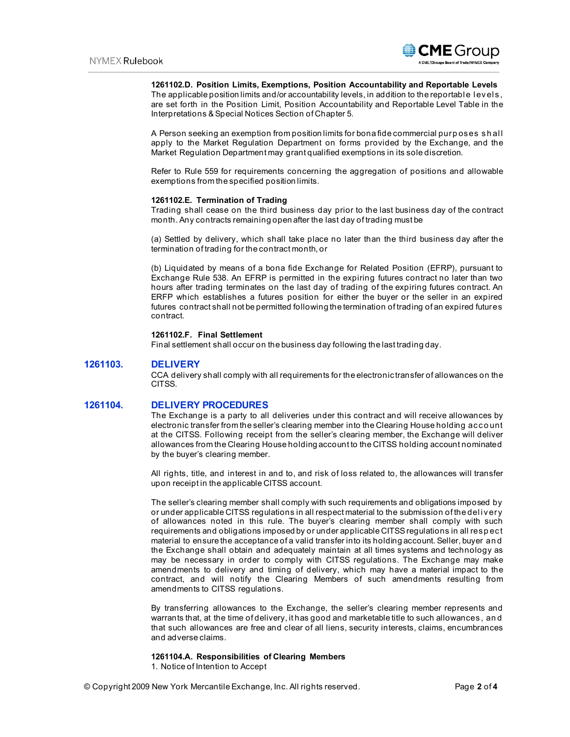

### **1261102.D. Position Limits, Exemptions, Position Accountability and Reportable Levels**

The applicable position limits and/or accountability levels, in addition to the reportable levels, are set forth in the Position Limit, Position Accountability and Reportable Level Table in the Interpretations & Special Notices Section of Chapter 5.

A Person seeking an exemption from position limits for bona fide commercial purp oses sh al l apply to the Market Regulation Department on forms provided by the Exchange, and the Market Regulation Department may grant qualified exemptions in its sole discretion.

Refer to Rule 559 for requirements concerning the aggregation of positions and allowable exemptions from the specified position limits.

### **1261102.E. Termination of Trading**

Trading shall cease on the third business day prior to the last business day of the contract month. Any contracts remaining open after the last day of trading must be

(a) Settled by delivery, which shall take place no later than the third business day after the termination of trading for the contract month, or

(b) Liquidated by means of a bona fide Exchange for Related Position (EFRP), pursuant to Exchange Rule 538. An EFRP is permitted in the expiring futures contract no later than two hours after trading terminates on the last day of trading of the expiring futures contract. An ERFP which establishes a futures position for either the buyer or the seller in an expired futures contract shall not be permitted following the termination of trading of an expired futures contract.

## **1261102.F. Final Settlement**

Final settlement shall occur on the business day following the last trading day.

# **1261103. DELIVERY**

CCA delivery shall comply with all requirements for the electronic transfer of allowances on the CITSS.

## **1261104. DELIVERY PROCEDURES**

The Exchange is a party to all deliveries under this contract and will receive allowances by electronic transfer from the seller's clearing member into the Clearing House holding acco unt at the CITSS. Following receipt from the seller's clearing member, the Exchange will deliver allowances from the Clearing House holding account to the CITSS holding account nominated by the buyer's clearing member.

All rights, title, and interest in and to, and risk of loss related to, the allowances will transfer upon receipt in the applicable CITSS account.

The seller's clearing member shall comply with such requirements and obligations imposed by or under applicable CITSS regulations in all respect material to the submission of the del i very of allowances noted in this rule. The buyer's clearing member shall comply with such requirements and obligations imposed by or under applicable CITSS regulations in all resp ect material to ensure the acceptance of a valid transfer into its holding account. Seller, buyer an d the Exchange shall obtain and adequately maintain at all times systems and technology as may be necessary in order to comply with CITSS regulations. The Exchange may make amendments to delivery and timing of delivery, which may have a material impact to the contract, and will notify the Clearing Members of such amendments resulting from amendments to CITSS regulations.

By transferring allowances to the Exchange, the seller's clearing member represents and warrants that, at the time of delivery, it has good and marketable title to such allowances, an d that such allowances are free and clear of all liens, security interests, claims, encumbrances and adverse claims.

#### **1261104.A. Responsibilities of Clearing Members**

1. Notice of Intention to Accept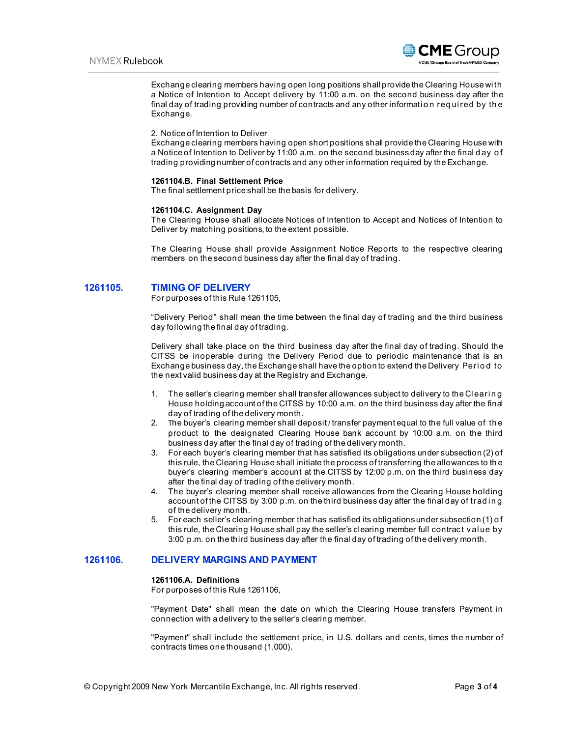

Exchange clearing members having open long positions shall provide the Clearing House wi th a Notice of Intention to Accept delivery by 11:00 a.m. on the second business day after the final day of trading providing number of contracts and any other information required by the Exchange.

#### 2. Notice of Intention to Deliver

Exchange clearing members having open short positions shall provide the Clearing House with a Notice of Intention to Deliver by 11:00 a.m. on the second business day after the final d ay o f trading providing number of contracts and any other information required by the Exchange.

#### **1261104.B. Final Settlement Price**

The final settlement price shall be the basis for delivery.

#### **1261104.C. Assignment Day**

The Clearing House shall allocate Notices of Intention to Accept and Notices of Intention to Deliver by matching positions, to the extent possible.

The Clearing House shall provide Assignment Notice Reports to the respective clearing members on the second business day after the final day of trading.

## **1261105. TIMING OF DELIVERY**

For purposes of this Rule 1261105,

"Delivery Period" shall mean the time between the final day of trading and the third business day following the final day of trading.

Delivery shall take place on the third business day after the final day of trading. Should the CITSS be inoperable during the Delivery Period due to periodic maintenance that is an Exchange business day, the Exchange shall have the option to extend the Delivery Period to the next valid business day at the Registry and Exchange.

- 1. The seller's clearing member shall transfer allowances subject to delivery to the Clearing House holding account of the CITSS by 10:00 a.m. on the third business day after the final day of trading of the delivery month.
- 2. The buyer's clearing member shall deposit / transfer payment equal to the full value of th e product to the designated Clearing House bank account by 10:00 a.m. on the third business day after the final day of trading of the delivery month.
- 3. For each buyer's clearing member that has satisfied its obligations under subsection (2) of this rule, the Clearing House shall initiate the process of transferring the allowances to th e buyer's clearing member's account at the CITSS by 12:00 p.m. on the third business day after the final day of trading of the delivery month.
- 4. The buyer's clearing member shall receive allowances from the Clearing House holding account of the CITSS by 3:00 p.m. on the third business day after the final day of trading of the delivery month.
- 5. For each seller's clearing member that has satisfied its obligations under subsection (1) o f this rule, the Clearing House shall pay the seller's clearing member full contract val ue by 3:00 p.m. on the third business day after the final day of trading of the delivery month.

# **1261106. DELIVERY MARGINS AND PAYMENT**

#### **1261106.A. Definitions**

For purposes of this Rule 1261106,

"Payment Date" shall mean the date on which the Clearing House transfers Payment in connection with a delivery to the seller's clearing member.

"Payment" shall include the settlement price, in U.S. dollars and cents, times the number of contracts times one thousand (1,000).